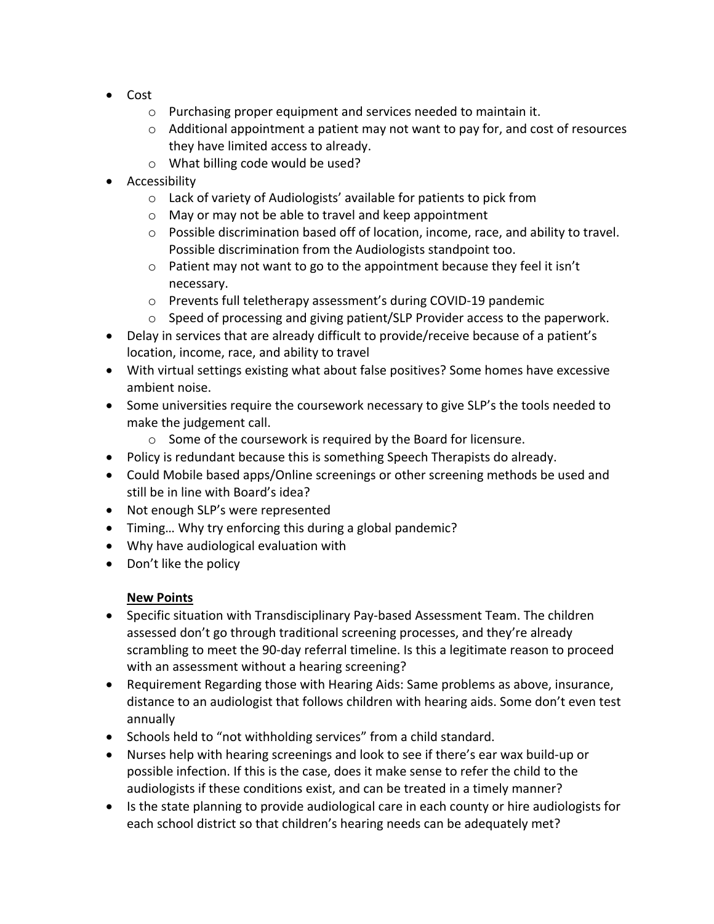- Cost
	- o Purchasing proper equipment and services needed to maintain it.
	- o Additional appointment a patient may not want to pay for, and cost of resources they have limited access to already.
	- o What billing code would be used?
- Accessibility
	- o Lack of variety of Audiologists' available for patients to pick from
	- o May or may not be able to travel and keep appointment
	- o Possible discrimination based off of location, income, race, and ability to travel. Possible discrimination from the Audiologists standpoint too.
	- o Patient may not want to go to the appointment because they feel it isn't necessary.
	- o Prevents full teletherapy assessment's during COVID-19 pandemic
	- o Speed of processing and giving patient/SLP Provider access to the paperwork.
- Delay in services that are already difficult to provide/receive because of a patient's location, income, race, and ability to travel
- With virtual settings existing what about false positives? Some homes have excessive ambient noise.
- Some universities require the coursework necessary to give SLP's the tools needed to make the judgement call.
	- o Some of the coursework is required by the Board for licensure.
- Policy is redundant because this is something Speech Therapists do already.
- Could Mobile based apps/Online screenings or other screening methods be used and still be in line with Board's idea?
- Not enough SLP's were represented
- Timing… Why try enforcing this during a global pandemic?
- Why have audiological evaluation with
- Don't like the policy

## **New Points**

- Specific situation with Transdisciplinary Pay-based Assessment Team. The children assessed don't go through traditional screening processes, and they're already scrambling to meet the 90-day referral timeline. Is this a legitimate reason to proceed with an assessment without a hearing screening?
- Requirement Regarding those with Hearing Aids: Same problems as above, insurance, distance to an audiologist that follows children with hearing aids. Some don't even test annually
- Schools held to "not withholding services" from a child standard.
- Nurses help with hearing screenings and look to see if there's ear wax build-up or possible infection. If this is the case, does it make sense to refer the child to the audiologists if these conditions exist, and can be treated in a timely manner?
- Is the state planning to provide audiological care in each county or hire audiologists for each school district so that children's hearing needs can be adequately met?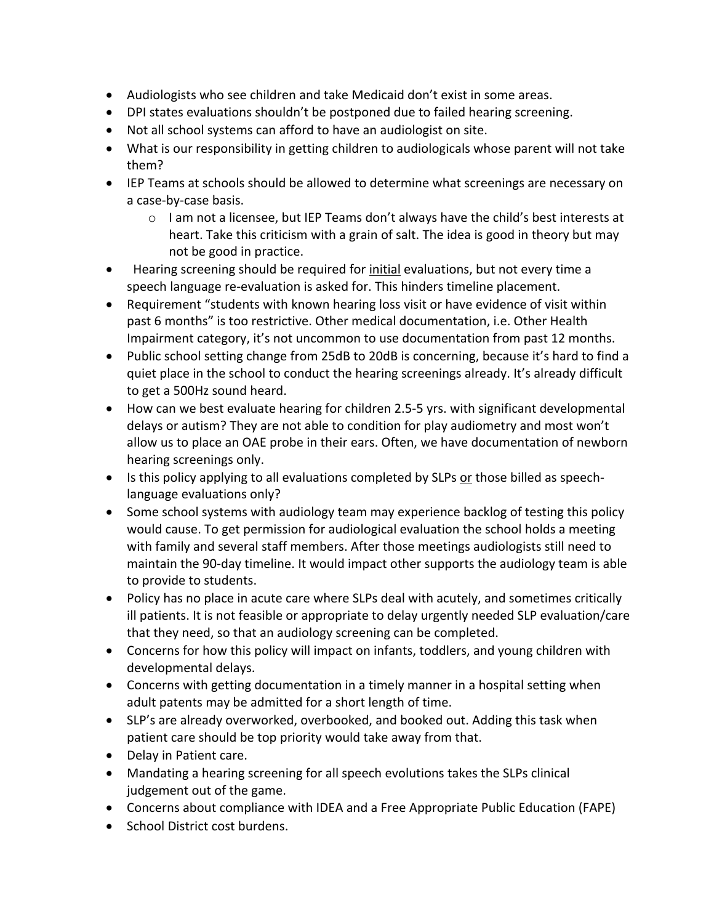- Audiologists who see children and take Medicaid don't exist in some areas.
- DPI states evaluations shouldn't be postponed due to failed hearing screening.
- Not all school systems can afford to have an audiologist on site.
- What is our responsibility in getting children to audiologicals whose parent will not take them?
- IEP Teams at schools should be allowed to determine what screenings are necessary on a case-by-case basis.
	- o I am not a licensee, but IEP Teams don't always have the child's best interests at heart. Take this criticism with a grain of salt. The idea is good in theory but may not be good in practice.
- Hearing screening should be required for *initial* evaluations, but not every time a speech language re-evaluation is asked for. This hinders timeline placement.
- Requirement "students with known hearing loss visit or have evidence of visit within past 6 months" is too restrictive. Other medical documentation, i.e. Other Health Impairment category, it's not uncommon to use documentation from past 12 months.
- Public school setting change from 25dB to 20dB is concerning, because it's hard to find a quiet place in the school to conduct the hearing screenings already. It's already difficult to get a 500Hz sound heard.
- How can we best evaluate hearing for children 2.5-5 yrs. with significant developmental delays or autism? They are not able to condition for play audiometry and most won't allow us to place an OAE probe in their ears. Often, we have documentation of newborn hearing screenings only.
- Is this policy applying to all evaluations completed by SLPs or those billed as speechlanguage evaluations only?
- Some school systems with audiology team may experience backlog of testing this policy would cause. To get permission for audiological evaluation the school holds a meeting with family and several staff members. After those meetings audiologists still need to maintain the 90-day timeline. It would impact other supports the audiology team is able to provide to students.
- Policy has no place in acute care where SLPs deal with acutely, and sometimes critically ill patients. It is not feasible or appropriate to delay urgently needed SLP evaluation/care that they need, so that an audiology screening can be completed.
- Concerns for how this policy will impact on infants, toddlers, and young children with developmental delays.
- Concerns with getting documentation in a timely manner in a hospital setting when adult patents may be admitted for a short length of time.
- SLP's are already overworked, overbooked, and booked out. Adding this task when patient care should be top priority would take away from that.
- Delay in Patient care.
- Mandating a hearing screening for all speech evolutions takes the SLPs clinical judgement out of the game.
- Concerns about compliance with IDEA and a Free Appropriate Public Education (FAPE)
- School District cost burdens.